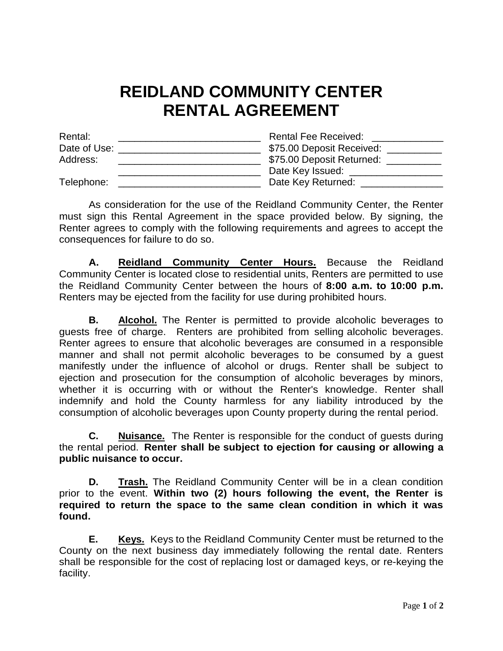## **REIDLAND COMMUNITY CENTER RENTAL AGREEMENT**

| Rental:      | <b>Rental Fee Received:</b> |
|--------------|-----------------------------|
| Date of Use: | \$75.00 Deposit Received:   |
| Address:     | \$75.00 Deposit Returned:   |
|              | Date Key Issued:            |
| Telephone:   | Date Key Returned:          |

As consideration for the use of the Reidland Community Center, the Renter must sign this Rental Agreement in the space provided below. By signing, the Renter agrees to comply with the following requirements and agrees to accept the consequences for failure to do so.

**A. Reidland Community Center Hours.** Because the Reidland Community Center is located close to residential units, Renters are permitted to use the Reidland Community Center between the hours of **8:00 a.m. to 10:00 p.m.** Renters may be ejected from the facility for use during prohibited hours.

**B. Alcohol.** The Renter is permitted to provide alcoholic beverages to guests free of charge. Renters are prohibited from selling alcoholic beverages. Renter agrees to ensure that alcoholic beverages are consumed in a responsible manner and shall not permit alcoholic beverages to be consumed by a guest manifestly under the influence of alcohol or drugs. Renter shall be subject to ejection and prosecution for the consumption of alcoholic beverages by minors, whether it is occurring with or without the Renter's knowledge. Renter shall indemnify and hold the County harmless for any liability introduced by the consumption of alcoholic beverages upon County property during the rental period.

**C. Nuisance.** The Renter is responsible for the conduct of guests during the rental period. **Renter shall be subject to ejection for causing or allowing a public nuisance to occur.**

**D. Trash.** The Reidland Community Center will be in a clean condition prior to the event. **Within two (2) hours following the event, the Renter is required to return the space to the same clean condition in which it was found.**

**E. Keys.** Keys to the Reidland Community Center must be returned to the County on the next business day immediately following the rental date. Renters shall be responsible for the cost of replacing lost or damaged keys, or re-keying the facility.